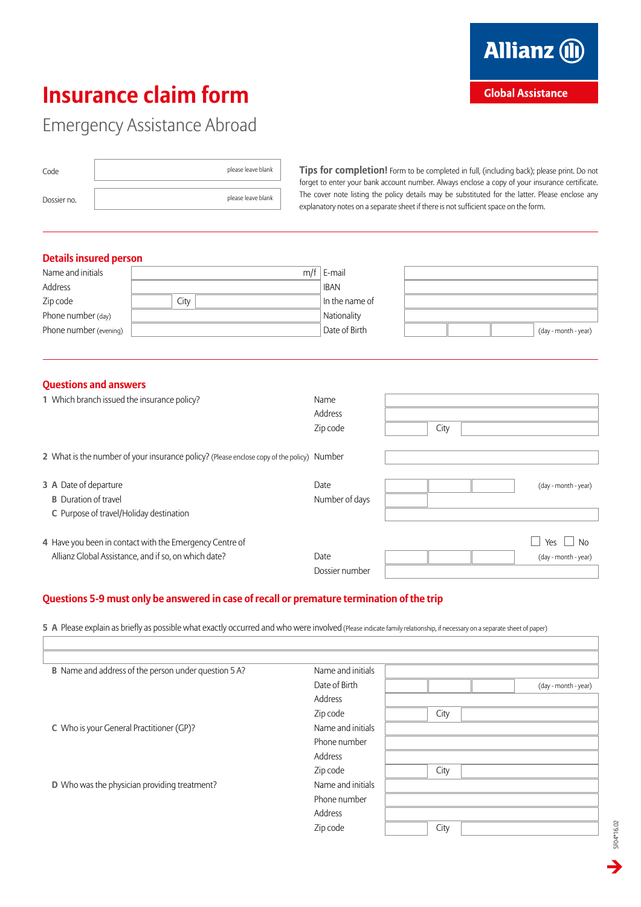# **Insurance claim form**

 $\rightarrow$ 

SF04\*16.02

SF04\*16.02

# Emergency Assistance Abroad

| Code        | please leave blank |
|-------------|--------------------|
| Dossier no. | please leave blank |

**Tips for completion!** Form to be completed in full, (including back); please print. Do not forget to enter your bank account number. Always enclose a copy of your insurance certificate. The cover note listing the policy details may be substituted for the latter. Please enclose any explanatory notes on a separate sheet if there is not sufficient space on the form.

## **Details insured person**

| Name and initials      |      | m/f | E-mail         |                      |
|------------------------|------|-----|----------------|----------------------|
| Address                |      |     | <b>IBAN</b>    |                      |
| Zip code               | City |     | In the name of |                      |
| Phone number (day)     |      |     | Nationality    |                      |
| Phone number (evening) |      |     | Date of Birth  | (day - month - year) |

#### **Questions and answers**

| 1 Which branch issued the insurance policy?                                               | Name           |      |                      |
|-------------------------------------------------------------------------------------------|----------------|------|----------------------|
|                                                                                           | Address        |      |                      |
|                                                                                           | Zip code       | City |                      |
|                                                                                           |                |      |                      |
| 2 What is the number of your insurance policy? (Please enclose copy of the policy) Number |                |      |                      |
|                                                                                           |                |      |                      |
| 3 A Date of departure                                                                     | Date           |      | (day - month - year) |
| <b>B</b> Duration of travel                                                               | Number of days |      |                      |
| C Purpose of travel/Holiday destination                                                   |                |      |                      |
|                                                                                           |                |      |                      |
| 4 Have you been in contact with the Emergency Centre of                                   |                |      | Yes<br><b>No</b>     |
| Allianz Global Assistance, and if so, on which date?                                      | Date           |      | (day - month - year) |
|                                                                                           | Dossier number |      |                      |

#### **Questions 5-9 must only be answered in case of recall or premature termination of the trip**

**5 A** Please explain as briefly as possible what exactly occurred and who were involved (Please indicate family relationship, if necessary on a separate sheet of paper)

| <b>B</b> Name and address of the person under question 5 A? | Name and initials |                      |
|-------------------------------------------------------------|-------------------|----------------------|
|                                                             | Date of Birth     | (day - month - year) |
|                                                             | Address           |                      |
|                                                             | Zip code          | City                 |
| C Who is your General Practitioner (GP)?                    | Name and initials |                      |
|                                                             | Phone number      |                      |
|                                                             | Address           |                      |
|                                                             | Zip code          | City                 |
| D Who was the physician providing treatment?                | Name and initials |                      |
|                                                             | Phone number      |                      |
|                                                             | Address           |                      |
|                                                             | Zip code          | City                 |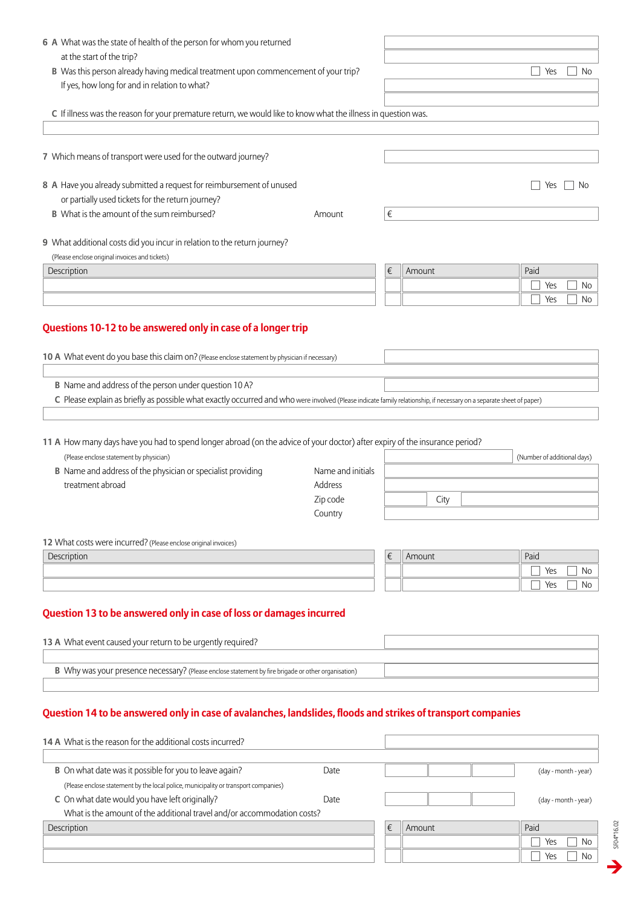| 6 A What was the state of health of the person for whom you returned                                                                                                 |                   |   |        |                             |
|----------------------------------------------------------------------------------------------------------------------------------------------------------------------|-------------------|---|--------|-----------------------------|
| at the start of the trip?                                                                                                                                            |                   |   |        |                             |
| B Was this person already having medical treatment upon commencement of your trip?                                                                                   |                   |   |        | Yes<br><b>No</b>            |
| If yes, how long for and in relation to what?                                                                                                                        |                   |   |        |                             |
|                                                                                                                                                                      |                   |   |        |                             |
| C If illness was the reason for your premature return, we would like to know what the illness in question was.                                                       |                   |   |        |                             |
|                                                                                                                                                                      |                   |   |        |                             |
| 7 Which means of transport were used for the outward journey?                                                                                                        |                   |   |        |                             |
|                                                                                                                                                                      |                   |   |        |                             |
| 8 A Have you already submitted a request for reimbursement of unused                                                                                                 |                   |   |        | Yes<br>No.                  |
| or partially used tickets for the return journey?                                                                                                                    |                   |   |        |                             |
| <b>B</b> What is the amount of the sum reimbursed?                                                                                                                   | Amount            | € |        |                             |
|                                                                                                                                                                      |                   |   |        |                             |
| 9 What additional costs did you incur in relation to the return journey?                                                                                             |                   |   |        |                             |
| (Please enclose original invoices and tickets)                                                                                                                       |                   |   |        |                             |
| Description                                                                                                                                                          |                   | € | Amount | Paid                        |
|                                                                                                                                                                      |                   |   |        | Yes<br>No                   |
|                                                                                                                                                                      |                   |   |        | Yes<br>No                   |
| Questions 10-12 to be answered only in case of a longer trip                                                                                                         |                   |   |        |                             |
| 10 A What event do you base this claim on? (Please enclose statement by physician if necessary)                                                                      |                   |   |        |                             |
| B Name and address of the person under question 10 A?                                                                                                                |                   |   |        |                             |
| C Please explain as briefly as possible what exactly occurred and who were involved (Please indicate family relationship, if necessary on a separate sheet of paper) |                   |   |        |                             |
|                                                                                                                                                                      |                   |   |        |                             |
|                                                                                                                                                                      |                   |   |        |                             |
| 11 A How many days have you had to spend longer abroad (on the advice of your doctor) after expiry of the insurance period?                                          |                   |   |        |                             |
| (Please enclose statement by physician)                                                                                                                              |                   |   |        | (Number of additional days) |
| <b>B</b> Name and address of the physician or specialist providing                                                                                                   | Name and initials |   |        |                             |
| treatment abroad                                                                                                                                                     | Address           |   |        |                             |
|                                                                                                                                                                      | Zip code          |   | City   |                             |
|                                                                                                                                                                      | Country           |   |        |                             |
|                                                                                                                                                                      |                   |   |        |                             |
| 12 What costs were incurred? (Please enclose original invoices)                                                                                                      |                   | € | Amount | Paid                        |
| Description                                                                                                                                                          |                   |   |        | Yes<br>No                   |
|                                                                                                                                                                      |                   |   |        | Yes<br>No                   |
|                                                                                                                                                                      |                   |   |        |                             |
| Question 13 to be answered only in case of loss or damages incurred                                                                                                  |                   |   |        |                             |
|                                                                                                                                                                      |                   |   |        |                             |
| 13 A What event caused your return to be urgently required?                                                                                                          |                   |   |        |                             |
|                                                                                                                                                                      |                   |   |        |                             |
| B Why was your presence necessary? (Please enclose statement by fire brigade or other organisation)                                                                  |                   |   |        |                             |
| Question 14 to be answered only in case of avalanches, landslides, floods and strikes of transport companies                                                         |                   |   |        |                             |
|                                                                                                                                                                      |                   |   |        |                             |
|                                                                                                                                                                      |                   |   |        |                             |
| 14 A What is the reason for the additional costs incurred?                                                                                                           |                   |   |        |                             |
|                                                                                                                                                                      |                   |   |        |                             |
| B On what date was it possible for you to leave again?                                                                                                               | Date              |   |        | (day - month - year)        |
| (Please enclose statement by the local police, municipality or transport companies)<br>C On what date would you have left originally?                                |                   |   |        |                             |

What is the amount of the additional travel and/or accommodation costs?

| y - month - year) |  |
|-------------------|--|
|                   |  |

| <b>Description</b> | $\overline{\phantom{0}}$<br>J | Amount | Paid             |
|--------------------|-------------------------------|--------|------------------|
|                    |                               |        | Yes<br><b>No</b> |
|                    |                               |        | Yes<br>No        |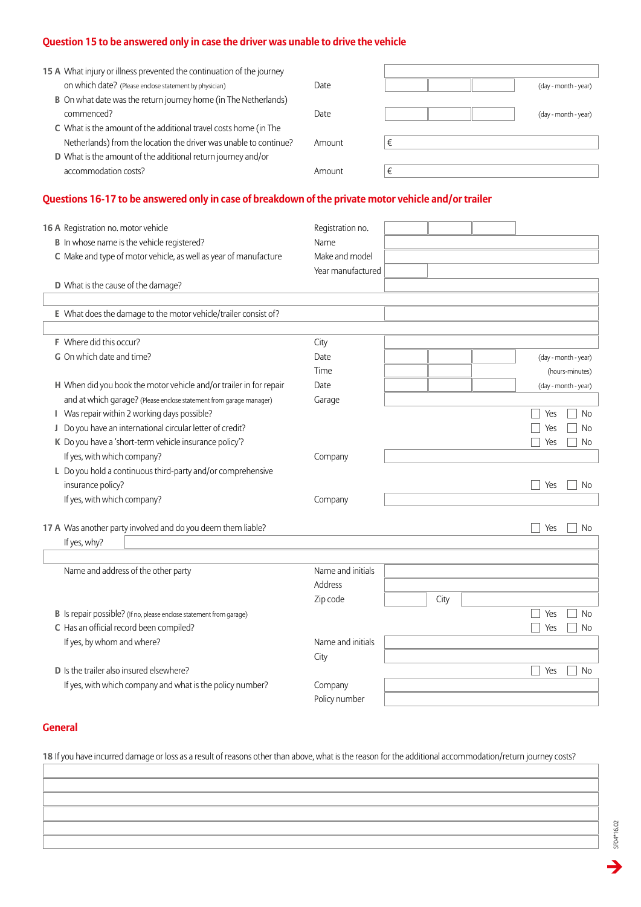# **Question 15 to be answered only in case the driver was unable to drive the vehicle**

| 15 A What injury or illness prevented the continuation of the journey |        |                      |
|-----------------------------------------------------------------------|--------|----------------------|
| on which date? (Please enclose statement by physician)                | Date:  | (day - month - year) |
| B On what date was the return journey home (in The Netherlands)       |        |                      |
| commenced?                                                            | Date:  | (day - month - year) |
| C What is the amount of the additional travel costs home (in The      |        |                      |
| Netherlands) from the location the driver was unable to continue?     | Amount |                      |
| D What is the amount of the additional return journey and/or          |        |                      |
| accommodation costs?                                                  | Amount |                      |
|                                                                       |        |                      |

# **Questions 16-17 to be answered only in case of breakdown of the private motor vehicle and/or trailer**

| 16 A Registration no. motor vehicle<br>B In whose name is the vehicle registered?<br>C Make and type of motor vehicle, as well as year of manufacture<br>D What is the cause of the damage? | Registration no.<br>Name<br>Make and model<br>Year manufactured |      |                      |
|---------------------------------------------------------------------------------------------------------------------------------------------------------------------------------------------|-----------------------------------------------------------------|------|----------------------|
| E What does the damage to the motor vehicle/trailer consist of?                                                                                                                             |                                                                 |      |                      |
|                                                                                                                                                                                             |                                                                 |      |                      |
| F Where did this occur?                                                                                                                                                                     | City                                                            |      |                      |
| G On which date and time?                                                                                                                                                                   | Date                                                            |      | (day - month - year) |
|                                                                                                                                                                                             | Time                                                            |      | (hours-minutes)      |
| H When did you book the motor vehicle and/or trailer in for repair                                                                                                                          | Date                                                            |      | (day - month - year) |
| and at which garage? (Please enclose statement from garage manager)                                                                                                                         | Garage                                                          |      |                      |
| Was repair within 2 working days possible?<br>L.                                                                                                                                            |                                                                 |      | <b>No</b><br>Yes     |
| J Do you have an international circular letter of credit?                                                                                                                                   |                                                                 |      | Yes<br>No            |
| K Do you have a 'short-term vehicle insurance policy'?                                                                                                                                      |                                                                 |      | Yes<br>No            |
| If yes, with which company?                                                                                                                                                                 | Company                                                         |      |                      |
| L Do you hold a continuous third-party and/or comprehensive                                                                                                                                 |                                                                 |      |                      |
| insurance policy?                                                                                                                                                                           |                                                                 |      | Yes<br>No            |
| If yes, with which company?                                                                                                                                                                 | Company                                                         |      |                      |
| 17 A Was another party involved and do you deem them liable?                                                                                                                                |                                                                 |      | Yes<br>No            |
| If yes, why?                                                                                                                                                                                |                                                                 |      |                      |
|                                                                                                                                                                                             |                                                                 |      |                      |
| Name and address of the other party                                                                                                                                                         | Name and initials                                               |      |                      |
|                                                                                                                                                                                             | Address                                                         |      |                      |
|                                                                                                                                                                                             | Zip code                                                        | City |                      |
| B Is repair possible? (If no, please enclose statement from garage)                                                                                                                         |                                                                 |      | <b>No</b><br>Yes     |
| C Has an official record been compiled?                                                                                                                                                     |                                                                 |      | <b>No</b><br>Yes     |
| If yes, by whom and where?                                                                                                                                                                  | Name and initials                                               |      |                      |
|                                                                                                                                                                                             | City                                                            |      |                      |
| <b>D</b> Is the trailer also insured elsewhere?                                                                                                                                             |                                                                 |      | Yes<br><b>No</b>     |
| If yes, with which company and what is the policy number?                                                                                                                                   | Company                                                         |      |                      |
|                                                                                                                                                                                             | Policy number                                                   |      |                      |

## **General**

**18** If you have incurred damage or loss as a result of reasons other than above, what is the reason for the additional accommodation/return journey costs?